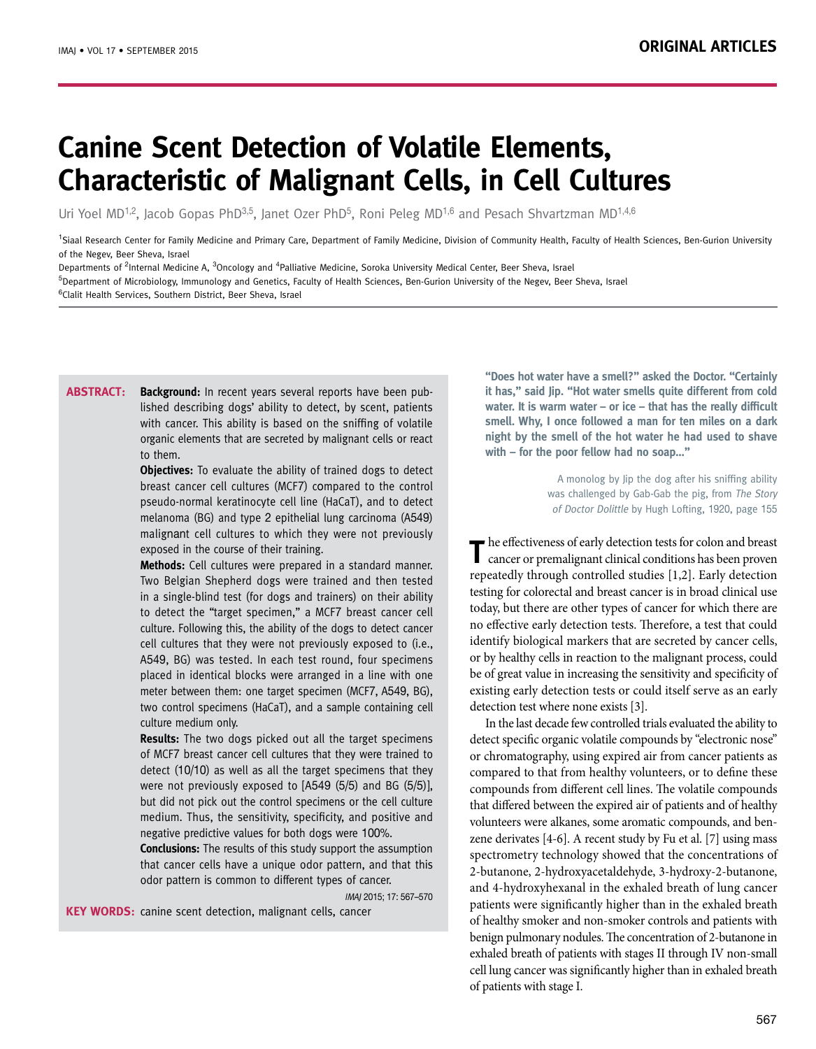# **Canine Scent Detection of Volatile Elements, Characteristic of Malignant Cells, in Cell Cultures**

Uri Yoel MD<sup>1,2</sup>, Jacob Gopas PhD<sup>3,5</sup>, Janet Ozer PhD<sup>5</sup>, Roni Peleg MD<sup>1,6</sup> and Pesach Shvartzman MD<sup>1,4,6</sup>

<sup>1</sup>Siaal Research Center for Family Medicine and Primary Care, Department of Family Medicine, Division of Community Health, Faculty of Health Sciences, Ben-Gurion University of the Negev, Beer Sheva, Israel

Departments of <sup>2</sup>Internal Medicine A, <sup>3</sup>Oncology and <sup>4</sup>Palliative Medicine, Soroka University Medical Center, Beer Sheva, Israel

<sup>5</sup>Department of Microbiology, Immunology and Genetics, Faculty of Health Sciences, Ben-Gurion University of the Negev, Beer Sheva, Israel

<sup>6</sup>Clalit Health Services, Southern District, Beer Sheva, Israel

**Background:** In recent years several reports have been published describing dogs' ability to detect, by scent, patients with cancer. This ability is based on the sniffing of volatile organic elements that are secreted by malignant cells or react to them. **Abstract:**

> **Objectives:** To evaluate the ability of trained dogs to detect breast cancer cell cultures (MCF7) compared to the control pseudo-normal keratinocyte cell line (HaCaT), and to detect melanoma (BG) and type 2 epithelial lung carcinoma (A549) malignant cell cultures to which they were not previously exposed in the course of their training.

> **Methods:** Cell cultures were prepared in a standard manner. Two Belgian Shepherd dogs were trained and then tested in a single-blind test (for dogs and trainers) on their ability to detect the "target specimen," a MCF7 breast cancer cell culture. Following this, the ability of the dogs to detect cancer cell cultures that they were not previously exposed to (i.e., A549, BG) was tested. In each test round, four specimens placed in identical blocks were arranged in a line with one meter between them: one target specimen (MCF7, A549, BG), two control specimens (HaCaT), and a sample containing cell culture medium only.

> **Results:** The two dogs picked out all the target specimens of MCF7 breast cancer cell cultures that they were trained to detect (10/10) as well as all the target specimens that they were not previously exposed to [A549 (5/5) and BG (5/5)], but did not pick out the control specimens or the cell culture medium. Thus, the sensitivity, specificity, and positive and negative predictive values for both dogs were 100%.

> **Conclusions:** The results of this study support the assumption that cancer cells have a unique odor pattern, and that this odor pattern is common to different types of cancer.

> > IMAJ 2015; 17: 567–570

KEY WORDS: canine scent detection, malignant cells, cancer

**"Does hot water have a smell?" asked the Doctor. "Certainly it has," said Jip. "Hot water smells quite different from cold water. It is warm water – or ice – that has the really difficult smell. Why, I once followed a man for ten miles on a dark night by the smell of the hot water he had used to shave with – for the poor fellow had no soap…"** 

> A monolog by Jip the dog after his sniffing ability was challenged by Gab-Gab the pig, from The Story of Doctor Dolittle by Hugh Lofting, 1920, page 155

The effectiveness of early detection tests for colon and breast cancer or premalignant clinical conditions has been proven repeatedly through controlled studies [1,2]. Early detection testing for colorectal and breast cancer is in broad clinical use today, but there are other types of cancer for which there are no effective early detection tests. Therefore, a test that could identify biological markers that are secreted by cancer cells, or by healthy cells in reaction to the malignant process, could be of great value in increasing the sensitivity and specificity of existing early detection tests or could itself serve as an early detection test where none exists [3].

In the last decade few controlled trials evaluated the ability to detect specific organic volatile compounds by "electronic nose" or chromatography, using expired air from cancer patients as compared to that from healthy volunteers, or to define these compounds from different cell lines. The volatile compounds that differed between the expired air of patients and of healthy volunteers were alkanes, some aromatic compounds, and benzene derivates [4-6]. A recent study by Fu et al. [7] using mass spectrometry technology showed that the concentrations of 2-butanone, 2-hydroxyacetaldehyde, 3-hydroxy-2-butanone, and 4-hydroxyhexanal in the exhaled breath of lung cancer patients were significantly higher than in the exhaled breath of healthy smoker and non-smoker controls and patients with benign pulmonary nodules. The concentration of 2-butanone in exhaled breath of patients with stages II through IV non-small cell lung cancer was significantly higher than in exhaled breath of patients with stage I.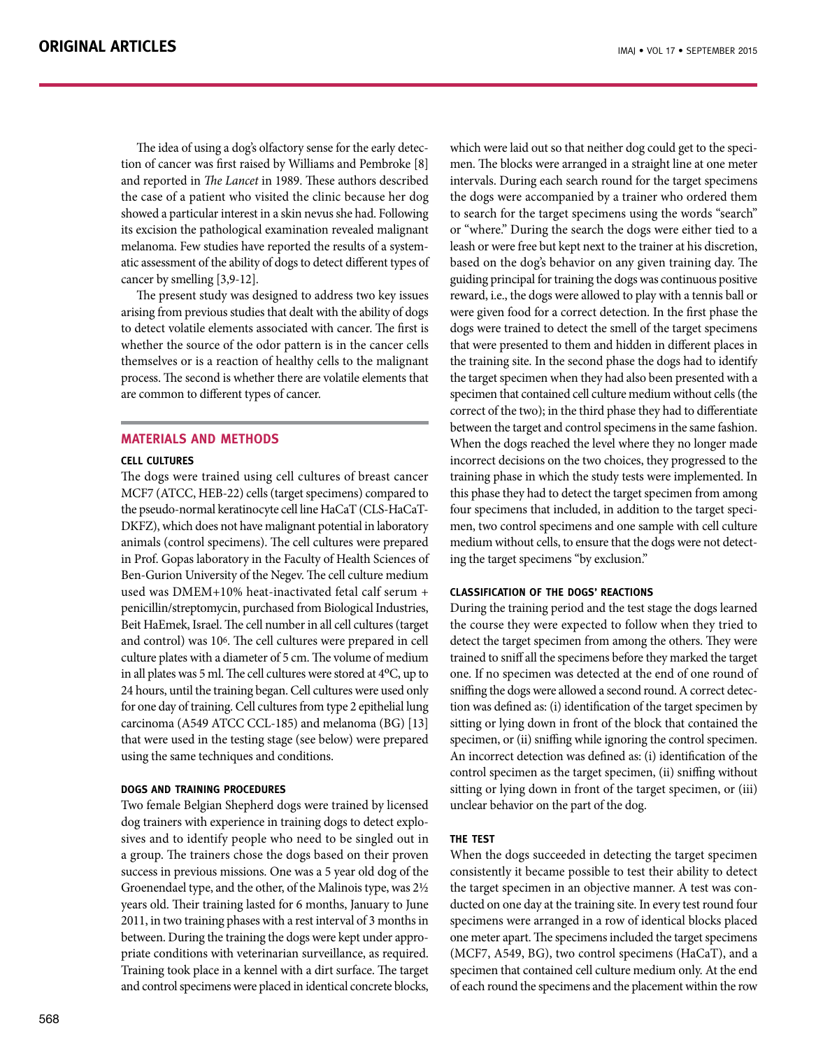The idea of using a dog's olfactory sense for the early detection of cancer was first raised by Williams and Pembroke [8] and reported in *The Lancet* in 1989. These authors described the case of a patient who visited the clinic because her dog showed a particular interest in a skin nevus she had. Following its excision the pathological examination revealed malignant melanoma. Few studies have reported the results of a systematic assessment of the ability of dogs to detect different types of cancer by smelling [3,9-12].

The present study was designed to address two key issues arising from previous studies that dealt with the ability of dogs to detect volatile elements associated with cancer. The first is whether the source of the odor pattern is in the cancer cells themselves or is a reaction of healthy cells to the malignant process. The second is whether there are volatile elements that are common to different types of cancer.

# **MATERIALS AND METHODS**

## **Cell cultures**

The dogs were trained using cell cultures of breast cancer MCF7 (ATCC, HEB-22) cells (target specimens) compared to the pseudo-normal keratinocyte cell line HaCaT (CLS-HaCaT-DKFZ), which does not have malignant potential in laboratory animals (control specimens). The cell cultures were prepared in Prof. Gopas laboratory in the Faculty of Health Sciences of Ben-Gurion University of the Negev. The cell culture medium used was DMEM+10% heat-inactivated fetal calf serum + penicillin/streptomycin, purchased from Biological Industries, Beit HaEmek, Israel. The cell number in all cell cultures (target and control) was 106. The cell cultures were prepared in cell culture plates with a diameter of 5 cm. The volume of medium in all plates was 5 ml. The cell cultures were stored at  $4^{\circ}$ C, up to 24 hours, until the training began. Cell cultures were used only for one day of training. Cell cultures from type 2 epithelial lung carcinoma (A549 ATCC CCL-185) and melanoma (BG) [13] that were used in the testing stage (see below) were prepared using the same techniques and conditions.

# **Dogs and training procedures**

Two female Belgian Shepherd dogs were trained by licensed dog trainers with experience in training dogs to detect explosives and to identify people who need to be singled out in a group. The trainers chose the dogs based on their proven success in previous missions. One was a 5 year old dog of the Groenendael type, and the other, of the Malinois type, was 2½ years old. Their training lasted for 6 months, January to June 2011, in two training phases with a rest interval of 3 months in between. During the training the dogs were kept under appropriate conditions with veterinarian surveillance, as required. Training took place in a kennel with a dirt surface. The target and control specimens were placed in identical concrete blocks, which were laid out so that neither dog could get to the specimen. The blocks were arranged in a straight line at one meter intervals. During each search round for the target specimens the dogs were accompanied by a trainer who ordered them to search for the target specimens using the words "search" or "where." During the search the dogs were either tied to a leash or were free but kept next to the trainer at his discretion, based on the dog's behavior on any given training day. The guiding principal for training the dogs was continuous positive reward, i.e., the dogs were allowed to play with a tennis ball or were given food for a correct detection. In the first phase the dogs were trained to detect the smell of the target specimens that were presented to them and hidden in different places in the training site. In the second phase the dogs had to identify the target specimen when they had also been presented with a specimen that contained cell culture medium without cells (the correct of the two); in the third phase they had to differentiate between the target and control specimens in the same fashion. When the dogs reached the level where they no longer made incorrect decisions on the two choices, they progressed to the training phase in which the study tests were implemented. In this phase they had to detect the target specimen from among four specimens that included, in addition to the target specimen, two control specimens and one sample with cell culture medium without cells, to ensure that the dogs were not detecting the target specimens "by exclusion."

# **Classification of the dogs' reactions**

During the training period and the test stage the dogs learned the course they were expected to follow when they tried to detect the target specimen from among the others. They were trained to sniff all the specimens before they marked the target one. If no specimen was detected at the end of one round of sniffing the dogs were allowed a second round. A correct detection was defined as: (i) identification of the target specimen by sitting or lying down in front of the block that contained the specimen, or (ii) sniffing while ignoring the control specimen. An incorrect detection was defined as: (i) identification of the control specimen as the target specimen, (ii) sniffing without sitting or lying down in front of the target specimen, or (iii) unclear behavior on the part of the dog.

# **The test**

When the dogs succeeded in detecting the target specimen consistently it became possible to test their ability to detect the target specimen in an objective manner. A test was conducted on one day at the training site. In every test round four specimens were arranged in a row of identical blocks placed one meter apart. The specimens included the target specimens (MCF7, A549, BG), two control specimens (HaCaT), and a specimen that contained cell culture medium only. At the end of each round the specimens and the placement within the row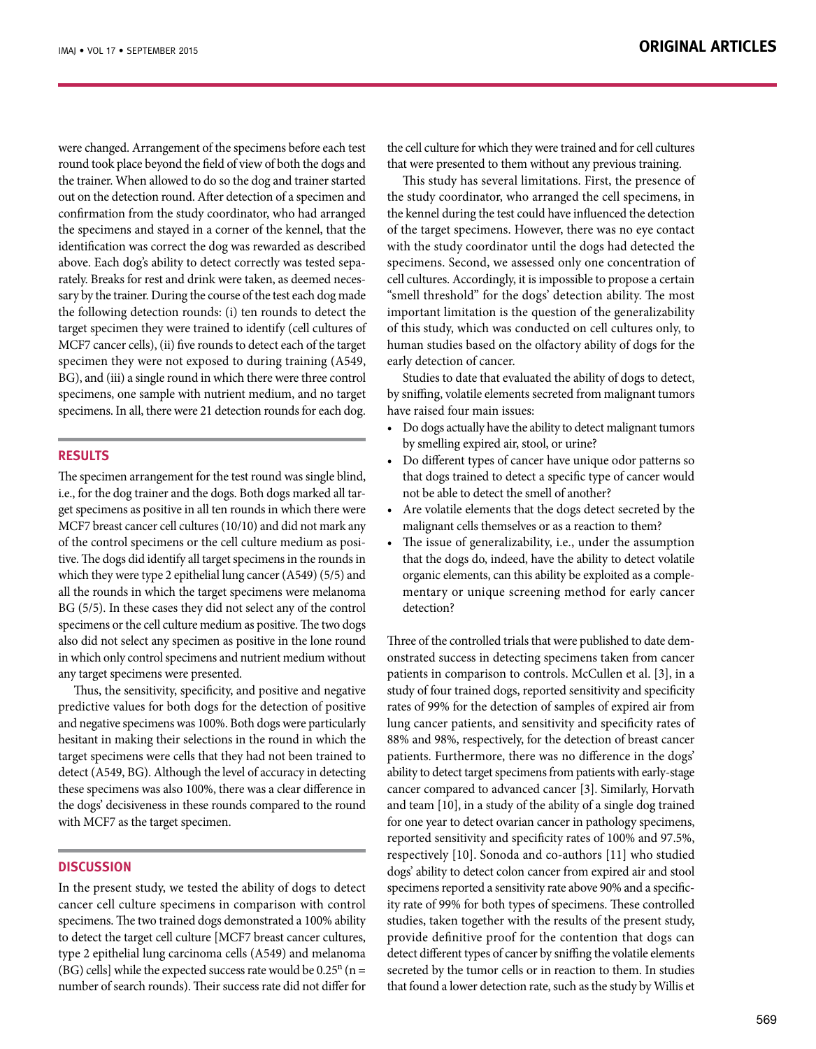were changed. Arrangement of the specimens before each test round took place beyond the field of view of both the dogs and the trainer. When allowed to do so the dog and trainer started out on the detection round. After detection of a specimen and confirmation from the study coordinator, who had arranged the specimens and stayed in a corner of the kennel, that the identification was correct the dog was rewarded as described above. Each dog's ability to detect correctly was tested separately. Breaks for rest and drink were taken, as deemed necessary by the trainer. During the course of the test each dog made the following detection rounds: (i) ten rounds to detect the target specimen they were trained to identify (cell cultures of MCF7 cancer cells), (ii) five rounds to detect each of the target specimen they were not exposed to during training (A549, BG), and (iii) a single round in which there were three control specimens, one sample with nutrient medium, and no target specimens. In all, there were 21 detection rounds for each dog.

# **RESULTS**

The specimen arrangement for the test round was single blind, i.e., for the dog trainer and the dogs. Both dogs marked all target specimens as positive in all ten rounds in which there were MCF7 breast cancer cell cultures (10/10) and did not mark any of the control specimens or the cell culture medium as positive. The dogs did identify all target specimens in the rounds in which they were type 2 epithelial lung cancer (A549) (5/5) and all the rounds in which the target specimens were melanoma BG (5/5). In these cases they did not select any of the control specimens or the cell culture medium as positive. The two dogs also did not select any specimen as positive in the lone round in which only control specimens and nutrient medium without any target specimens were presented.

Thus, the sensitivity, specificity, and positive and negative predictive values for both dogs for the detection of positive and negative specimens was 100%. Both dogs were particularly hesitant in making their selections in the round in which the target specimens were cells that they had not been trained to detect (A549, BG). Although the level of accuracy in detecting these specimens was also 100%, there was a clear difference in the dogs' decisiveness in these rounds compared to the round with MCF7 as the target specimen.

# **DISCUSSION**

In the present study, we tested the ability of dogs to detect cancer cell culture specimens in comparison with control specimens. The two trained dogs demonstrated a 100% ability to detect the target cell culture [MCF7 breast cancer cultures, type 2 epithelial lung carcinoma cells (A549) and melanoma (BG) cells] while the expected success rate would be  $0.25^n$  (n = number of search rounds). Their success rate did not differ for the cell culture for which they were trained and for cell cultures that were presented to them without any previous training.

This study has several limitations. First, the presence of the study coordinator, who arranged the cell specimens, in the kennel during the test could have influenced the detection of the target specimens. However, there was no eye contact with the study coordinator until the dogs had detected the specimens. Second, we assessed only one concentration of cell cultures. Accordingly, it is impossible to propose a certain "smell threshold" for the dogs' detection ability. The most important limitation is the question of the generalizability of this study, which was conducted on cell cultures only, to human studies based on the olfactory ability of dogs for the early detection of cancer.

Studies to date that evaluated the ability of dogs to detect, by sniffing, volatile elements secreted from malignant tumors have raised four main issues:

- • Do dogs actually have the ability to detect malignant tumors by smelling expired air, stool, or urine?
- • Do different types of cancer have unique odor patterns so that dogs trained to detect a specific type of cancer would not be able to detect the smell of another?
- Are volatile elements that the dogs detect secreted by the malignant cells themselves or as a reaction to them?
- The issue of generalizability, i.e., under the assumption that the dogs do, indeed, have the ability to detect volatile organic elements, can this ability be exploited as a complementary or unique screening method for early cancer detection?

Three of the controlled trials that were published to date demonstrated success in detecting specimens taken from cancer patients in comparison to controls. McCullen et al. [3], in a study of four trained dogs, reported sensitivity and specificity rates of 99% for the detection of samples of expired air from lung cancer patients, and sensitivity and specificity rates of 88% and 98%, respectively, for the detection of breast cancer patients. Furthermore, there was no difference in the dogs' ability to detect target specimens from patients with early-stage cancer compared to advanced cancer [3]. Similarly, Horvath and team [10], in a study of the ability of a single dog trained for one year to detect ovarian cancer in pathology specimens, reported sensitivity and specificity rates of 100% and 97.5%, respectively [10]. Sonoda and co-authors [11] who studied dogs' ability to detect colon cancer from expired air and stool specimens reported a sensitivity rate above 90% and a specificity rate of 99% for both types of specimens. These controlled studies, taken together with the results of the present study, provide definitive proof for the contention that dogs can detect different types of cancer by sniffing the volatile elements secreted by the tumor cells or in reaction to them. In studies that found a lower detection rate, such as the study by Willis et